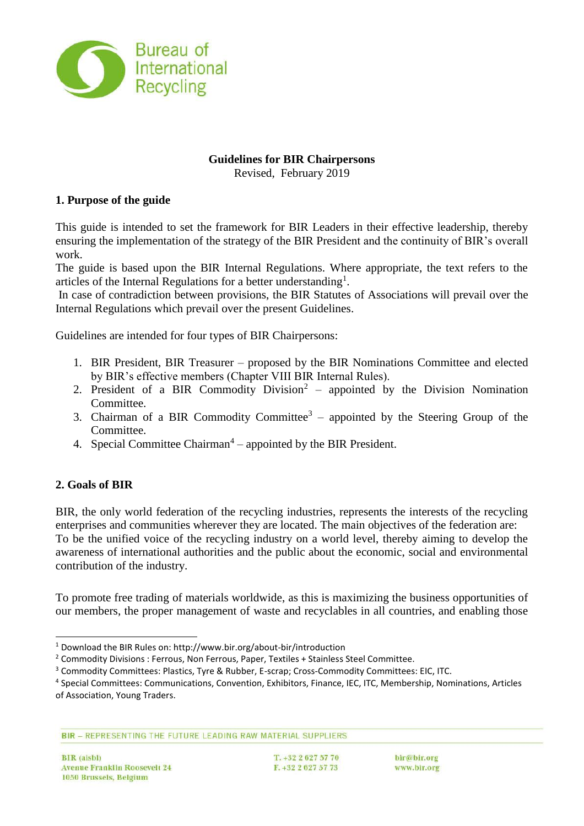

## **Guidelines for BIR Chairpersons**

Revised, February 2019

### **1. Purpose of the guide**

This guide is intended to set the framework for BIR Leaders in their effective leadership, thereby ensuring the implementation of the strategy of the BIR President and the continuity of BIR's overall work.

The guide is based upon the BIR Internal Regulations. Where appropriate, the text refers to the articles of the Internal Regulations for a better understanding<sup>1</sup>.

In case of contradiction between provisions, the BIR Statutes of Associations will prevail over the Internal Regulations which prevail over the present Guidelines.

Guidelines are intended for four types of BIR Chairpersons:

- 1. BIR President, BIR Treasurer proposed by the BIR Nominations Committee and elected by BIR's effective members (Chapter VIII BIR Internal Rules).
- 2. President of a BIR Commodity Division<sup>2</sup> appointed by the Division Nomination Committee.
- 3. Chairman of a BIR Commodity Committee<sup>3</sup> appointed by the Steering Group of the Committee.
- 4. Special Committee Chairman<sup>4</sup> appointed by the BIR President.

## **2. Goals of BIR**

BIR, the only world federation of the recycling industries, represents the interests of the recycling enterprises and communities wherever they are located. The main objectives of the federation are: To be the unified voice of the recycling industry on a world level, thereby aiming to develop the awareness of international authorities and the public about the economic, social and environmental contribution of the industry.

To promote free trading of materials worldwide, as this is maximizing the business opportunities of our members, the proper management of waste and recyclables in all countries, and enabling those

BIR - REPRESENTING THE FUTURE LEADING RAW MATERIAL SUPPLIERS

l <sup>1</sup> Download the BIR Rules on: http://www.bir.org/about-bir/introduction

<sup>&</sup>lt;sup>2</sup> Commodity Divisions : Ferrous, Non Ferrous, Paper, Textiles + Stainless Steel Committee.

<sup>&</sup>lt;sup>3</sup> Commodity Committees: Plastics, Tyre & Rubber, E-scrap; Cross-Commodity Committees: EIC, ITC.

<sup>4</sup> Special Committees: Communications, Convention, Exhibitors, Finance, IEC, ITC, Membership, Nominations, Articles of Association, Young Traders.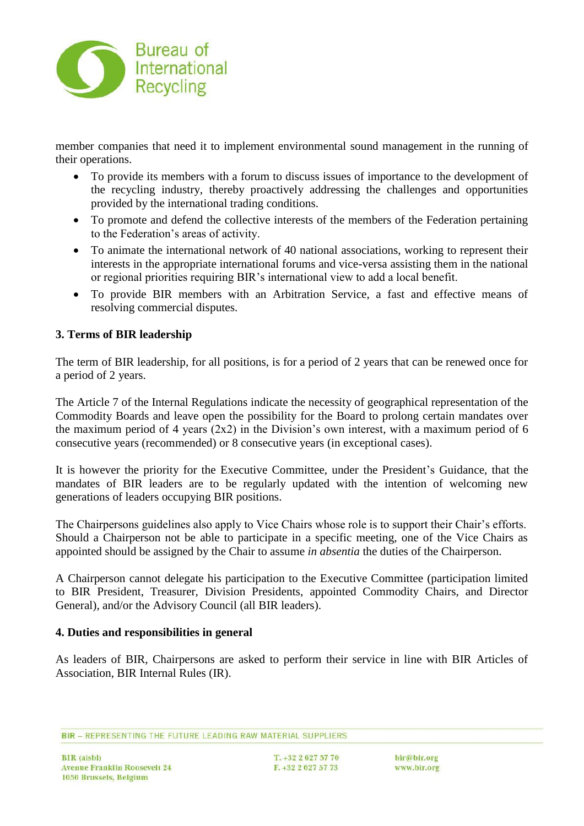

member companies that need it to implement environmental sound management in the running of their operations.

- To provide its members with a forum to discuss issues of importance to the development of the recycling industry, thereby proactively addressing the challenges and opportunities provided by the international trading conditions.
- To promote and defend the collective interests of the members of the Federation pertaining to the Federation's areas of activity.
- To animate the international network of 40 national associations, working to represent their interests in the appropriate international forums and vice-versa assisting them in the national or regional priorities requiring BIR's international view to add a local benefit.
- To provide BIR members with an Arbitration Service, a fast and effective means of resolving commercial disputes.

# **3. Terms of BIR leadership**

The term of BIR leadership, for all positions, is for a period of 2 years that can be renewed once for a period of 2 years.

The Article 7 of the Internal Regulations indicate the necessity of geographical representation of the Commodity Boards and leave open the possibility for the Board to prolong certain mandates over the maximum period of 4 years  $(2x2)$  in the Division's own interest, with a maximum period of 6 consecutive years (recommended) or 8 consecutive years (in exceptional cases).

It is however the priority for the Executive Committee, under the President's Guidance, that the mandates of BIR leaders are to be regularly updated with the intention of welcoming new generations of leaders occupying BIR positions.

The Chairpersons guidelines also apply to Vice Chairs whose role is to support their Chair's efforts. Should a Chairperson not be able to participate in a specific meeting, one of the Vice Chairs as appointed should be assigned by the Chair to assume *in absentia* the duties of the Chairperson.

A Chairperson cannot delegate his participation to the Executive Committee (participation limited to BIR President, Treasurer, Division Presidents, appointed Commodity Chairs, and Director General), and/or the Advisory Council (all BIR leaders).

#### **4. Duties and responsibilities in general**

As leaders of BIR, Chairpersons are asked to perform their service in line with BIR Articles of Association, BIR Internal Rules (IR).

BIR - REPRESENTING THE FUTURE LEADING RAW MATERIAL SUPPLIERS

T. +32 2 627 57 70  $F. +3226275773$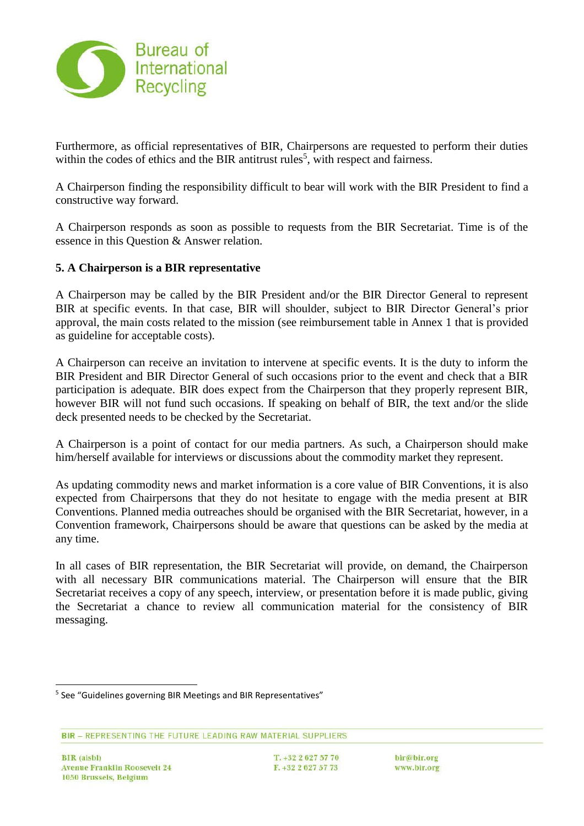

Furthermore, as official representatives of BIR, Chairpersons are requested to perform their duties within the codes of ethics and the BIR antitrust rules<sup>5</sup>, with respect and fairness.

A Chairperson finding the responsibility difficult to bear will work with the BIR President to find a constructive way forward.

A Chairperson responds as soon as possible to requests from the BIR Secretariat. Time is of the essence in this Question & Answer relation.

## **5. A Chairperson is a BIR representative**

A Chairperson may be called by the BIR President and/or the BIR Director General to represent BIR at specific events. In that case, BIR will shoulder, subject to BIR Director General's prior approval, the main costs related to the mission (see reimbursement table in Annex 1 that is provided as guideline for acceptable costs).

A Chairperson can receive an invitation to intervene at specific events. It is the duty to inform the BIR President and BIR Director General of such occasions prior to the event and check that a BIR participation is adequate. BIR does expect from the Chairperson that they properly represent BIR, however BIR will not fund such occasions. If speaking on behalf of BIR, the text and/or the slide deck presented needs to be checked by the Secretariat.

A Chairperson is a point of contact for our media partners. As such, a Chairperson should make him/herself available for interviews or discussions about the commodity market they represent.

As updating commodity news and market information is a core value of BIR Conventions, it is also expected from Chairpersons that they do not hesitate to engage with the media present at BIR Conventions. Planned media outreaches should be organised with the BIR Secretariat, however, in a Convention framework, Chairpersons should be aware that questions can be asked by the media at any time.

In all cases of BIR representation, the BIR Secretariat will provide, on demand, the Chairperson with all necessary BIR communications material. The Chairperson will ensure that the BIR Secretariat receives a copy of any speech, interview, or presentation before it is made public, giving the Secretariat a chance to review all communication material for the consistency of BIR messaging.

l

T. +32 2 627 57 70  $F. +3226275773$ 

<sup>&</sup>lt;sup>5</sup> See "Guidelines governing BIR Meetings and BIR Representatives"

BIR - REPRESENTING THE FUTURE LEADING RAW MATERIAL SUPPLIERS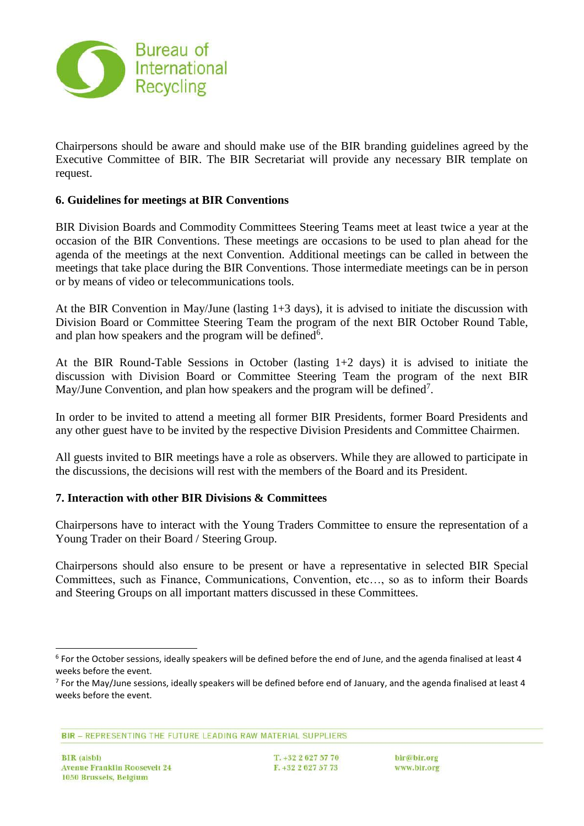

Chairpersons should be aware and should make use of the BIR branding guidelines agreed by the Executive Committee of BIR. The BIR Secretariat will provide any necessary BIR template on request.

## **6. Guidelines for meetings at BIR Conventions**

BIR Division Boards and Commodity Committees Steering Teams meet at least twice a year at the occasion of the BIR Conventions. These meetings are occasions to be used to plan ahead for the agenda of the meetings at the next Convention. Additional meetings can be called in between the meetings that take place during the BIR Conventions. Those intermediate meetings can be in person or by means of video or telecommunications tools.

At the BIR Convention in May/June (lasting 1+3 days), it is advised to initiate the discussion with Division Board or Committee Steering Team the program of the next BIR October Round Table, and plan how speakers and the program will be defined<sup>6</sup>.

At the BIR Round-Table Sessions in October (lasting 1+2 days) it is advised to initiate the discussion with Division Board or Committee Steering Team the program of the next BIR May/June Convention, and plan how speakers and the program will be defined<sup>7</sup>.

In order to be invited to attend a meeting all former BIR Presidents, former Board Presidents and any other guest have to be invited by the respective Division Presidents and Committee Chairmen.

All guests invited to BIR meetings have a role as observers. While they are allowed to participate in the discussions, the decisions will rest with the members of the Board and its President.

#### **7. Interaction with other BIR Divisions & Committees**

Chairpersons have to interact with the Young Traders Committee to ensure the representation of a Young Trader on their Board / Steering Group.

Chairpersons should also ensure to be present or have a representative in selected BIR Special Committees, such as Finance, Communications, Convention, etc…, so as to inform their Boards and Steering Groups on all important matters discussed in these Committees.

BIR - REPRESENTING THE FUTURE LEADING RAW MATERIAL SUPPLIERS

l

<sup>6</sup> For the October sessions, ideally speakers will be defined before the end of June, and the agenda finalised at least 4 weeks before the event.

 $^7$  For the May/June sessions, ideally speakers will be defined before end of January, and the agenda finalised at least 4 weeks before the event.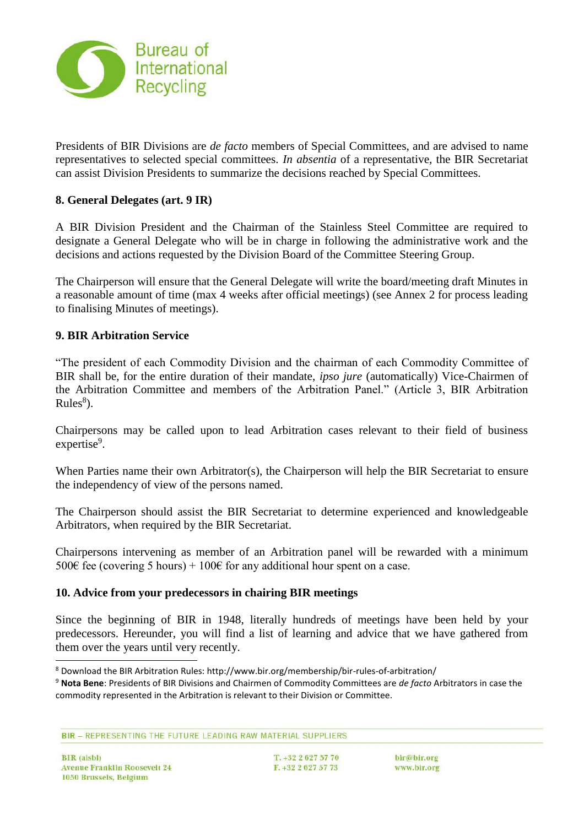

Presidents of BIR Divisions are *de facto* members of Special Committees, and are advised to name representatives to selected special committees. *In absentia* of a representative, the BIR Secretariat can assist Division Presidents to summarize the decisions reached by Special Committees.

## **8. General Delegates (art. 9 IR)**

A BIR Division President and the Chairman of the Stainless Steel Committee are required to designate a General Delegate who will be in charge in following the administrative work and the decisions and actions requested by the Division Board of the Committee Steering Group.

The Chairperson will ensure that the General Delegate will write the board/meeting draft Minutes in a reasonable amount of time (max 4 weeks after official meetings) (see Annex 2 for process leading to finalising Minutes of meetings).

## **9. BIR Arbitration Service**

"The president of each Commodity Division and the chairman of each Commodity Committee of BIR shall be, for the entire duration of their mandate, *ipso jure* (automatically) Vice-Chairmen of the Arbitration Committee and members of the Arbitration Panel." (Article 3, BIR Arbitration Rules $\delta$ ).

Chairpersons may be called upon to lead Arbitration cases relevant to their field of business expertise<sup>9</sup>.

When Parties name their own Arbitrator(s), the Chairperson will help the BIR Secretariat to ensure the independency of view of the persons named.

The Chairperson should assist the BIR Secretariat to determine experienced and knowledgeable Arbitrators, when required by the BIR Secretariat.

Chairpersons intervening as member of an Arbitration panel will be rewarded with a minimum 500€ fee (covering 5 hours) + 100€ for any additional hour spent on a case.

## **10. Advice from your predecessors in chairing BIR meetings**

Since the beginning of BIR in 1948, literally hundreds of meetings have been held by your predecessors. Hereunder, you will find a list of learning and advice that we have gathered from them over the years until very recently.

BIR - REPRESENTING THE FUTURE LEADING RAW MATERIAL SUPPLIERS

l

<sup>8</sup> Download the BIR Arbitration Rules: http://www.bir.org/membership/bir-rules-of-arbitration/

<sup>9</sup> **Nota Bene**: Presidents of BIR Divisions and Chairmen of Commodity Committees are *de facto* Arbitrators in case the commodity represented in the Arbitration is relevant to their Division or Committee.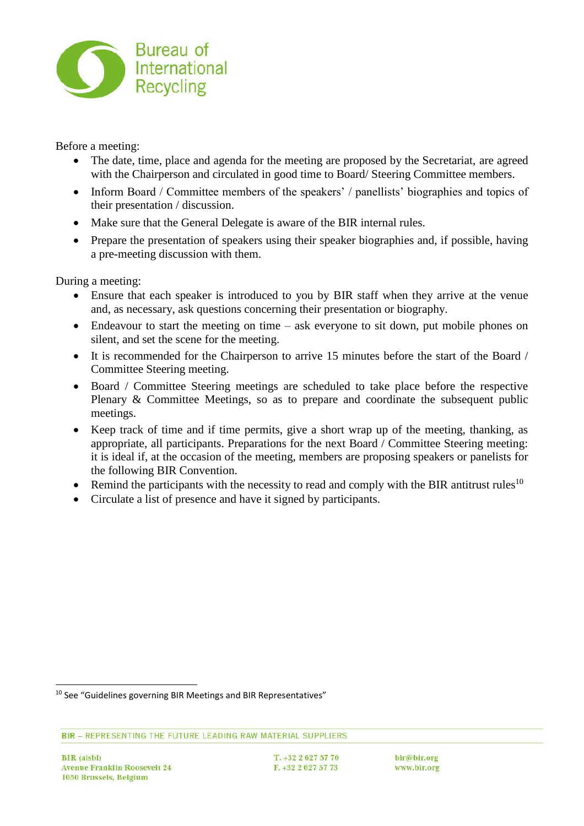

Before a meeting:

- The date, time, place and agenda for the meeting are proposed by the Secretariat, are agreed with the Chairperson and circulated in good time to Board/ Steering Committee members.
- Inform Board / Committee members of the speakers' / panellists' biographies and topics of their presentation / discussion.
- Make sure that the General Delegate is aware of the BIR internal rules.
- Prepare the presentation of speakers using their speaker biographies and, if possible, having a pre-meeting discussion with them.

During a meeting:

- Ensure that each speaker is introduced to you by BIR staff when they arrive at the venue and, as necessary, ask questions concerning their presentation or biography.
- Endeavour to start the meeting on time ask everyone to sit down, put mobile phones on silent, and set the scene for the meeting.
- It is recommended for the Chairperson to arrive 15 minutes before the start of the Board / Committee Steering meeting.
- Board / Committee Steering meetings are scheduled to take place before the respective Plenary & Committee Meetings, so as to prepare and coordinate the subsequent public meetings.
- Keep track of time and if time permits, give a short wrap up of the meeting, thanking, as appropriate, all participants. Preparations for the next Board / Committee Steering meeting: it is ideal if, at the occasion of the meeting, members are proposing speakers or panelists for the following BIR Convention.
- Remind the participants with the necessity to read and comply with the BIR antitrust rules<sup>10</sup>
- Circulate a list of presence and have it signed by participants.

l

T. +32 2 627 57 70 F. +32 2 627 57 73 bir@bir.org www.bir.org

<sup>&</sup>lt;sup>10</sup> See "Guidelines governing BIR Meetings and BIR Representatives"

BIR - REPRESENTING THE FUTURE LEADING RAW MATERIAL SUPPLIERS